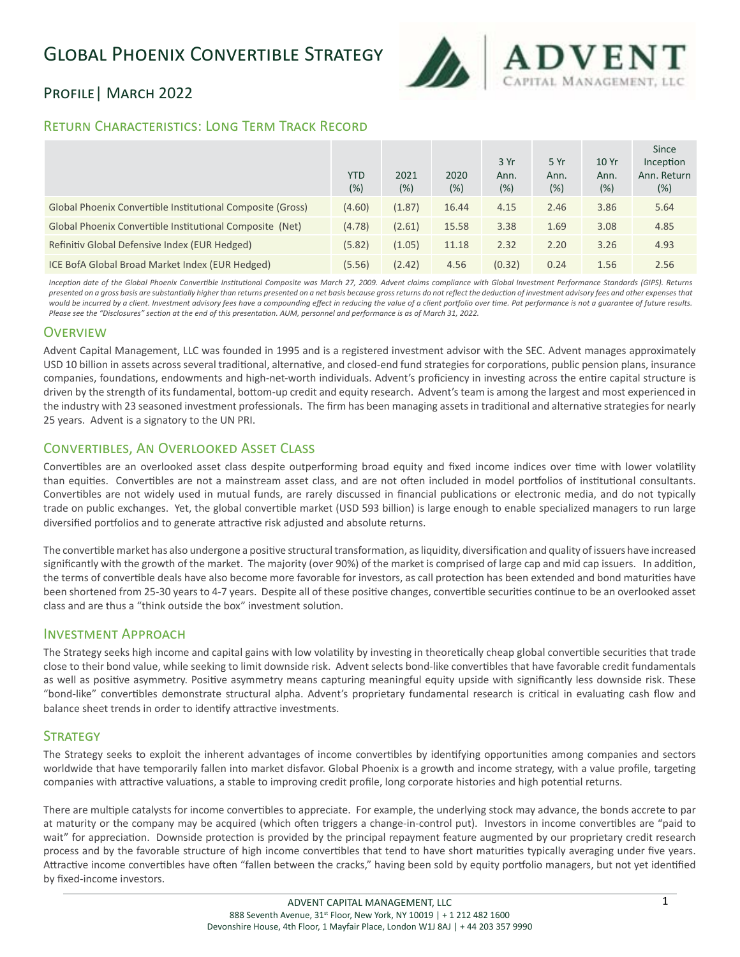

## Profile| March 2022

## Return Characteristics: Long Term Track Record

|                                                            |            |        |        |        |      |       | Since       |
|------------------------------------------------------------|------------|--------|--------|--------|------|-------|-------------|
|                                                            |            |        |        | 3 Yr   | 5 Yr | 10 Yr | Inception   |
|                                                            | <b>YTD</b> | 2021   | 2020   | Ann.   | Ann. | Ann.  | Ann. Return |
|                                                            | (%)        | $(\%)$ | $(\%)$ | $(\%)$ | (%)  | (%)   | $(\%)$      |
| Global Phoenix Convertible Institutional Composite (Gross) | (4.60)     | (1.87) | 16.44  | 4.15   | 2.46 | 3.86  | 5.64        |
| Global Phoenix Convertible Institutional Composite (Net)   | (4.78)     | (2.61) | 15.58  | 3.38   | 1.69 | 3.08  | 4.85        |
| Refinitiv Global Defensive Index (EUR Hedged)              | (5.82)     | (1.05) | 11.18  | 2.32   | 2.20 | 3.26  | 4.93        |
| ICE BofA Global Broad Market Index (EUR Hedged)            | (5.56)     | (2.42) | 4.56   | (0.32) | 0.24 | 1.56  | 2.56        |

*Inception date of the Global Phoenix Convertible Institutional Composite was March 27, 2009. Advent claims compliance with Global Investment Performance Standards (GIPS). Returns*  presented on a gross basis are substantially higher than returns presented on a net basis because gross returns do not reflect the deduction of investment advisory fees and other expenses that would be incurred by a client. Investment advisory fees have a compounding effect in reducing the value of a client portfolio over time. Pat performance is not a guarantee of future results. *Please see the "Disclosures" section at the end of this presentation. AUM, personnel and performance is as of March 31, 2022.*

## **OVERVIEW**

Advent Capital Management, LLC was founded in 1995 and is a registered investment advisor with the SEC. Advent manages approximately USD 10 billion in assets across several traditional, alternative, and closed-end fund strategies for corporations, public pension plans, insurance companies, foundations, endowments and high-net-worth individuals. Advent's proficiency in investing across the entire capital structure is driven by the strength of its fundamental, bottom-up credit and equity research. Advent's team is among the largest and most experienced in the industry with 23 seasoned investment professionals. The firm has been managing assets in traditional and alternative strategies for nearly 25 years. Advent is a signatory to the UN PRI.

## Convertibles, An Overlooked Asset Class

Convertibles are an overlooked asset class despite outperforming broad equity and fixed income indices over time with lower volatility than equities. Convertibles are not a mainstream asset class, and are not often included in model portfolios of institutional consultants. Convertibles are not widely used in mutual funds, are rarely discussed in financial publications or electronic media, and do not typically trade on public exchanges. Yet, the global convertible market (USD 593 billion) is large enough to enable specialized managers to run large diversified portfolios and to generate attractive risk adjusted and absolute returns.

The convertible market has also undergone a positive structural transformation, as liquidity, diversification and quality of issuers have increased significantly with the growth of the market. The majority (over 90%) of the market is comprised of large cap and mid cap issuers. In addition, the terms of convertible deals have also become more favorable for investors, as call protection has been extended and bond maturities have been shortened from 25-30 years to 4-7 years. Despite all of these positive changes, convertible securities continue to be an overlooked asset class and are thus a "think outside the box" investment solution.

## Investment Approach

The Strategy seeks high income and capital gains with low volatility by investing in theoretically cheap global convertible securities that trade close to their bond value, while seeking to limit downside risk. Advent selects bond-like convertibles that have favorable credit fundamentals as well as positive asymmetry. Positive asymmetry means capturing meaningful equity upside with significantly less downside risk. These "bond-like" convertibles demonstrate structural alpha. Advent's proprietary fundamental research is critical in evaluating cash flow and balance sheet trends in order to identify attractive investments.

## **STRATEGY**

The Strategy seeks to exploit the inherent advantages of income convertibles by identifying opportunities among companies and sectors worldwide that have temporarily fallen into market disfavor. Global Phoenix is a growth and income strategy, with a value profile, targeting companies with attractive valuations, a stable to improving credit profile, long corporate histories and high potential returns.

There are multiple catalysts for income convertibles to appreciate. For example, the underlying stock may advance, the bonds accrete to par at maturity or the company may be acquired (which often triggers a change-in-control put). Investors in income convertibles are "paid to wait" for appreciation. Downside protection is provided by the principal repayment feature augmented by our proprietary credit research process and by the favorable structure of high income convertibles that tend to have short maturities typically averaging under five years. Attractive income convertibles have often "fallen between the cracks," having been sold by equity portfolio managers, but not yet identified by fixed-income investors.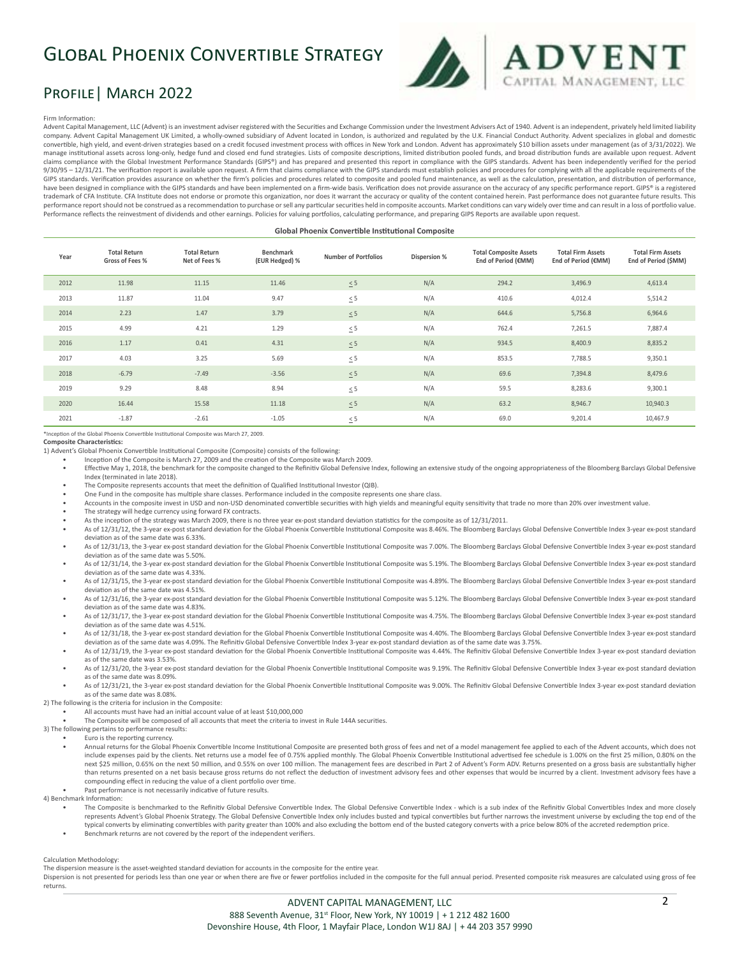

## Profile| March 2022

#### Firm Information:

Advent Capital Management, LLC (Advent) is an investment adviser registered with the Securities and Exchange Commission under the Investment Advisers Act of 1940. Advent is an independent, privately held limited liability company. Advent Capital Management UK Limited, a wholly-owned subsidiary of Advent located in London, is authorized and regulated by the U.K. Financial Conduct Authority. Advent specializes in global and domestic convertible, high yield, and event-driven strategies based on a credit focused investment process with offices in New York and London. Advent has approximately \$10 billion assets under management (as of 3/31/2022). We manage institutional assets across long-only, hedge fund and closed end fund strategies. Lists of composite descriptions, limited distribution pooled funds, and broad distribution funds are available upon request. Advent claims compliance with the Global Investment Performance Standards (GIPS®) and has prepared and presented this report in compliance with the GIPS standards. Advent has been independently verified for the period 9/30/95 – 12/31/21. The verification report is available upon request. A firm that claims compliance with the GIPS standards must establish policies and procedures for complying with all the applicable requirements of the GIPS standards. Verification provides assurance on whether the firm's policies and procedures related to composite and pooled fund maintenance, as well as the calculation, presentation, and distribution of performance, have been designed in compliance with the GIPS standards and have been implemented on a firm-wide basis. Verification does not provide assurance on the accuracy of any specific performance report. GIPS® is a registered trademark of CFA Institute. CFA Institute does not endorse or promote this organization, nor does it warrant the accuracy or quality of the content contained herein. Past performance does not guarantee future results. This performance report should not be construed as a recommendation to purchase or sell any particular securities held in composite accounts. Market conditions can vary widely over time and can result in a loss of portfolio val Performance reflects the reinvestment of dividends and other earnings. Policies for valuing portfolios, calculating performance, and preparing GIPS Reports are available upon request.

#### **Global Phoenix Convertible Institutional Composite**

| Year | <b>Total Return</b><br>Gross of Fees % | <b>Total Return</b><br>Net of Fees % | Benchmark<br>(EUR Hedged) % | <b>Number of Portfolios</b> | Dispersion % | <b>Total Composite Assets</b><br>End of Period (€MM) | <b>Total Firm Assets</b><br>End of Period (€MM) | <b>Total Firm Assets</b><br>End of Period (\$MM) |
|------|----------------------------------------|--------------------------------------|-----------------------------|-----------------------------|--------------|------------------------------------------------------|-------------------------------------------------|--------------------------------------------------|
| 2012 | 11.98                                  | 11.15                                | 11.46                       | $\leq 5$                    | N/A          | 294.2                                                | 3,496.9                                         | 4,613.4                                          |
| 2013 | 11.87                                  | 11.04                                | 9.47                        | $\leq 5$                    | N/A          | 410.6                                                | 4,012.4                                         | 5,514.2                                          |
| 2014 | 2.23                                   | 1.47                                 | 3.79                        | $\leq$ 5                    | N/A          | 644.6                                                | 5,756.8                                         | 6,964.6                                          |
| 2015 | 4.99                                   | 4.21                                 | 1.29                        | $\leq 5$                    | N/A          | 762.4                                                | 7,261.5                                         | 7,887.4                                          |
| 2016 | 1.17                                   | 0.41                                 | 4.31                        | $\leq 5$                    | N/A          | 934.5                                                | 8,400.9                                         | 8,835.2                                          |
| 2017 | 4.03                                   | 3.25                                 | 5.69                        | $\leq$ 5                    | N/A          | 853.5                                                | 7,788.5                                         | 9,350.1                                          |
| 2018 | $-6.79$                                | $-7.49$                              | $-3.56$                     | $\leq$ 5                    | N/A          | 69.6                                                 | 7,394.8                                         | 8,479.6                                          |
| 2019 | 9.29                                   | 8.48                                 | 8.94                        | $\leq 5$                    | N/A          | 59.5                                                 | 8,283.6                                         | 9,300.1                                          |
| 2020 | 16.44                                  | 15.58                                | 11.18                       | $\leq 5$                    | N/A          | 63.2                                                 | 8,946.7                                         | 10,940.3                                         |
| 2021 | $-1.87$                                | $-2.61$                              | $-1.05$                     | $\leq 5$                    | N/A          | 69.0                                                 | 9,201.4                                         | 10,467.9                                         |

In of the Global Phoenix Convertible Institutional Composite was March 27, 2009.

### **Composite Characteristics:**

1) Advent's Global Phoenix Convertible Institutional Composite (Composite) consists of the following:

• Inception of the Composite is March 27, 2009 and the creation of the Composite was March 2009.

Effective May 1, 2018, the benchmark for the composite changed to the Refinitiv Global Defensive Index, following an extensive study of the ongoing appropriateness of the Bloomberg Barclays Global Defensive Index (terminated in late 2018).

• The Composite represents accounts that meet the definition of Qualified Institutional Investor (QIB).

• One Fund in the composite has multiple share classes. Performance included in the composite represents one share class.

- Accounts in the composite invest in USD and non-USD denominated convertible securities with high yields and meaningful equity sensitivity that trade no more than 20% over investment value.
- The strategy will hedge currency using forward FX contracts.
- As the inception of the strategy was March 2009, there is no three year ex-post standard deviation statistics for the composite as of 12/31/2011.
- As of 12/31/12, the 3-year ex-post standard deviation for the Global Phoenix Convertible Institutional Composite was 8.46%. The Bloomberg Barclays Global Defensive Convertible Index 3-year ex-post standard deviation as of the same date was 6.33%.
- As of 12/31/13, the 3-year ex-post standard deviation for the Global Phoenix Convertible Institutional Composite was 7.00%. The Bloomberg Barclays Global Defensive Convertible Index 3-year ex-post standard deviation as of the same date was 5.50%.
- As of 12/31/14, the 3-year ex-post standard deviation for the Global Phoenix Convertible Institutional Composite was 5.19%. The Bloomberg Barclays Global Defensive Convertible Index 3-year ex-post standard deviation as of the same date was 4.33%.
- As of 12/31/15, the 3-year ex-post standard deviation for the Global Phoenix Convertible Institutional Composite was 4.89%. The Bloomberg Barclays Global Defensive Convertible Index 3-year ex-post standard deviation as of the same date was 4.51%.
- As of 12/31/16, the 3-year ex-post standard deviation for the Global Phoenix Convertible Institutional Composite was 5.12%. The Bloomberg Barclays Global Defensive Convertible Index 3-year ex-post standard deviation as of the same date was 4.83%.
- As of 12/31/17, the 3-year ex-post standard deviation for the Global Phoenix Convertible Institutional Composite was 4.75%. The Bloomberg Barclays Global Defensive Convertible Index 3-year ex-post standard deviation as of the same date was 4.51%.
- As of 12/31/18, the 3-year ex-post standard deviation for the Global Phoenix Convertible Institutional Composite was 4.40%. The Bloomberg Barclays Global Defensive Convertible Index 3-year ex-post standard deviation as of the same date was 4.09%. The Refinitiv Global Defensive Convertible Index 3-year ex-post standard deviation as of the same date was 3.75%.
- As of 12/31/19, the 3-year ex-post standard deviation for the Global Phoenix Convertible Institutional Composite was 4.44%. The Refinitiv Global Defensive Convertible Index 3-year ex-post standard deviation as of the same date was 3.53%.
- As of 12/31/20, the 3-year ex-post standard deviation for the Global Phoenix Convertible Institutional Composite was 9.19%. The Refinitiv Global Defensive Convertible Index 3-year ex-post standard deviation as of the same date was 8.09%.
- As of 12/31/21, the 3-year ex-post standard deviation for the Global Phoenix Convertible Institutional Composite was 9.00%. The Refinitiv Global Defensive Convertible Index 3-year ex-post standard deviation as of the same date was 8.08%.

2) The following is the criteria for inclusion in the Composite:

• All accounts must have had an initial account value of at least \$10,000,000

The Composite will be composed of all accounts that meet the criteria to invest in Rule 144A securities.

- 3) The following pertains to performance results:
	- Euro is the reporting currency.
	- Annual returns for the Global Phoenix Convertible Income Institutional Composite are presented both gross of fees and net of a model management fee applied to each of the Advent accounts, which does not include expenses paid by the clients. Net returns use a model fee of 0.75% applied monthly. The Global Phoenix Convertible Institutional advertised fee schedule is 1.00% on the first 25 million, 0.80% on the next \$25 million, 0.65% on the next 50 million, and 0.55% on over 100 million. The management fees are described in Part 2 of Advent's Form ADV. Returns presented on a gross basis are substantially higher than returns presented on a net basis because gross returns do not reflect the deduction of investment advisory fees and other expenses that would be incurred by a client. Investment advisory fees have a compounding effect in reducing the value of a client portfolio over time.
- Past performance is not necessarily indicative of future results. 4) Benchmark Information:
	- The Composite is benchmarked to the Refinitiv Global Defensive Convertible Index. The Global Defensive Convertible Index which is a sub index of the Refinitiv Global Convertibles Index and more closely represents Advent's Global Phoenix Strategy. The Global Defensive Convertible Index only includes busted and typical convertibles but further narrows the investment universe by excluding the top end of the typical converts by eliminating convertibles with parity greater than 100% and also excluding the bottom end of the busted category converts with a price below 80% of the accreted redemption price.
	- Benchmark returns are not covered by the report of the independent verifiers.

#### Calculation Methodology:

The dispersion measure is the asset-weighted standard deviation for accounts in the composite for the entire year.

Dispersion is not presented for periods less than one year or when there are five or fewer portfolios included in the composite for the full annual period. Presented composite risk measures are calculated using gross of fee returns.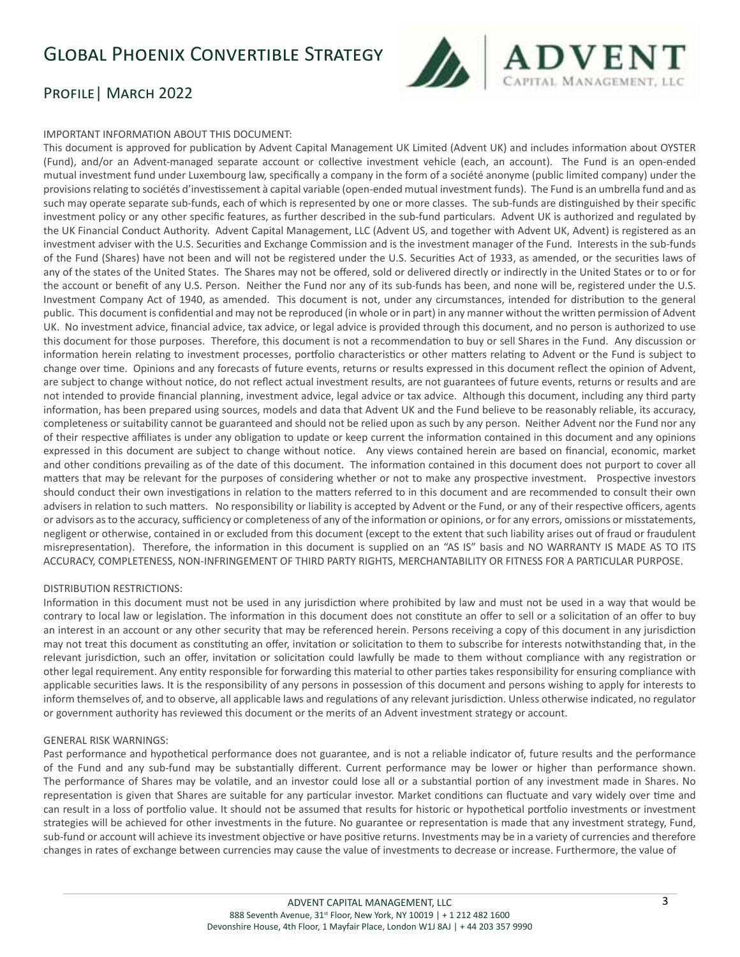

## Profile| March 2022

### IMPORTANT INFORMATION ABOUT THIS DOCUMENT:

This document is approved for publication by Advent Capital Management UK Limited (Advent UK) and includes information about OYSTER (Fund), and/or an Advent-managed separate account or collective investment vehicle (each, an account). The Fund is an open-ended mutual investment fund under Luxembourg law, specifically a company in the form of a société anonyme (public limited company) under the provisions relating to sociétés d'investissement à capital variable (open-ended mutual investment funds). The Fund is an umbrella fund and as such may operate separate sub-funds, each of which is represented by one or more classes. The sub-funds are distinguished by their specific investment policy or any other specific features, as further described in the sub-fund particulars. Advent UK is authorized and regulated by the UK Financial Conduct Authority. Advent Capital Management, LLC (Advent US, and together with Advent UK, Advent) is registered as an investment adviser with the U.S. Securities and Exchange Commission and is the investment manager of the Fund. Interests in the sub-funds of the Fund (Shares) have not been and will not be registered under the U.S. Securities Act of 1933, as amended, or the securities laws of any of the states of the United States. The Shares may not be offered, sold or delivered directly or indirectly in the United States or to or for the account or benefit of any U.S. Person. Neither the Fund nor any of its sub-funds has been, and none will be, registered under the U.S. Investment Company Act of 1940, as amended. This document is not, under any circumstances, intended for distribution to the general public. This document is confidential and may not be reproduced (in whole or in part) in any manner without the written permission of Advent UK. No investment advice, financial advice, tax advice, or legal advice is provided through this document, and no person is authorized to use this document for those purposes. Therefore, this document is not a recommendation to buy or sell Shares in the Fund. Any discussion or information herein relating to investment processes, portfolio characteristics or other matters relating to Advent or the Fund is subject to change over time. Opinions and any forecasts of future events, returns or results expressed in this document reflect the opinion of Advent, are subject to change without notice, do not reflect actual investment results, are not guarantees of future events, returns or results and are not intended to provide financial planning, investment advice, legal advice or tax advice. Although this document, including any third party information, has been prepared using sources, models and data that Advent UK and the Fund believe to be reasonably reliable, its accuracy, completeness or suitability cannot be guaranteed and should not be relied upon as such by any person. Neither Advent nor the Fund nor any of their respective affiliates is under any obligation to update or keep current the information contained in this document and any opinions expressed in this document are subject to change without notice. Any views contained herein are based on financial, economic, market and other conditions prevailing as of the date of this document. The information contained in this document does not purport to cover all matters that may be relevant for the purposes of considering whether or not to make any prospective investment. Prospective investors should conduct their own investigations in relation to the matters referred to in this document and are recommended to consult their own advisers in relation to such matters. No responsibility or liability is accepted by Advent or the Fund, or any of their respective officers, agents or advisors as to the accuracy, sufficiency or completeness of any of the information or opinions, or for any errors, omissions or misstatements, negligent or otherwise, contained in or excluded from this document (except to the extent that such liability arises out of fraud or fraudulent misrepresentation). Therefore, the information in this document is supplied on an "AS IS" basis and NO WARRANTY IS MADE AS TO ITS ACCURACY, COMPLETENESS, NON-INFRINGEMENT OF THIRD PARTY RIGHTS, MERCHANTABILITY OR FITNESS FOR A PARTICULAR PURPOSE.

### DISTRIBUTION RESTRICTIONS:

Information in this document must not be used in any jurisdiction where prohibited by law and must not be used in a way that would be contrary to local law or legislation. The information in this document does not constitute an offer to sell or a solicitation of an offer to buy an interest in an account or any other security that may be referenced herein. Persons receiving a copy of this document in any jurisdiction may not treat this document as constituting an offer, invitation or solicitation to them to subscribe for interests notwithstanding that, in the relevant jurisdiction, such an offer, invitation or solicitation could lawfully be made to them without compliance with any registration or other legal requirement. Any entity responsible for forwarding this material to other parties takes responsibility for ensuring compliance with applicable securities laws. It is the responsibility of any persons in possession of this document and persons wishing to apply for interests to inform themselves of, and to observe, all applicable laws and regulations of any relevant jurisdiction. Unless otherwise indicated, no regulator or government authority has reviewed this document or the merits of an Advent investment strategy or account.

### GENERAL RISK WARNINGS:

Past performance and hypothetical performance does not guarantee, and is not a reliable indicator of, future results and the performance of the Fund and any sub-fund may be substantially different. Current performance may be lower or higher than performance shown. The performance of Shares may be volatile, and an investor could lose all or a substantial portion of any investment made in Shares. No representation is given that Shares are suitable for any particular investor. Market conditions can fluctuate and vary widely over time and can result in a loss of portfolio value. It should not be assumed that results for historic or hypothetical portfolio investments or investment strategies will be achieved for other investments in the future. No guarantee or representation is made that any investment strategy, Fund, sub-fund or account will achieve its investment objective or have positive returns. Investments may be in a variety of currencies and therefore changes in rates of exchange between currencies may cause the value of investments to decrease or increase. Furthermore, the value of